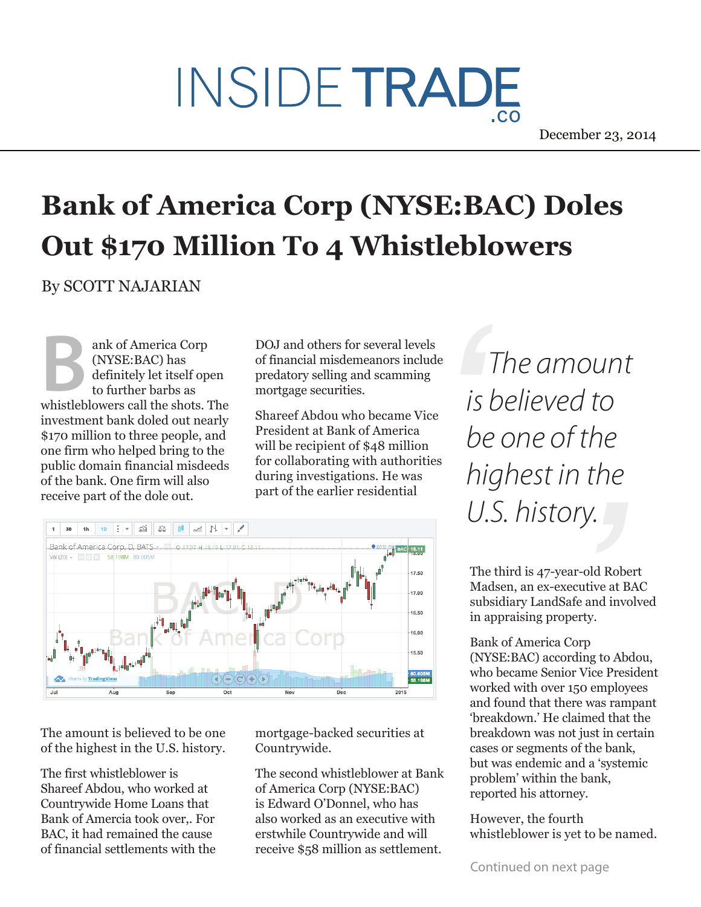## INSIDE TRADE

December 23, 2014

## **Bank of America Corp (NYSE:BAC) Doles Out \$170 Million To 4 Whistleblowers**

By SCOTT NAJARIAN

(NYSE:BAC) has definitely let itself open to further barbs as whistleblowers call the shots. The investment bank doled out nearly \$170 million to three people, and one firm who helped bring to the public domain financial misdeeds of the bank. One firm will also receive part of the dole out. **B**<br> **B** (NYSE:BAC) has of financial misdemeanors include<br>
to further barbs as the shots The and scanning<br> **B**<br> **B** (NYSE:BAC) has of financial misdemeanors include<br>
to further barbs as mortgage securities.<br>  $\frac{1}{5}$   $\frac{$ 

ank of America Corp DOJ and others for several levels of financial misdemeanors include predatory selling and scamming mortgage securities.

> Shareef Abdou who became Vice President at Bank of America will be recipient of \$48 million for collaborating with authorities during investigations. He was part of the earlier residential



The amount is believed to be one of the highest in the U.S. history.

The first whistleblower is Shareef Abdou, who worked at Countrywide Home Loans that Bank of Amercia took over,. For BAC, it had remained the cause of financial settlements with the mortgage-backed securities at Countrywide.

The second whistleblower at Bank of America Corp (NYSE:BAC) is Edward O'Donnel, who has also worked as an executive with erstwhile Countrywide and will receive \$58 million as settlement.

*is believed to be one of the highest in the U.S. history.*

The third is 47-year-old Robert Madsen, an ex-executive at BAC subsidiary LandSafe and involved in appraising property.

Bank of America Corp (NYSE:BAC) according to Abdou, who became Senior Vice President worked with over 150 employees and found that there was rampant 'breakdown.' He claimed that the breakdown was not just in certain cases or segments of the bank, but was endemic and a 'systemic problem' within the bank, reported his attorney.

However, the fourth whistleblower is yet to be named.